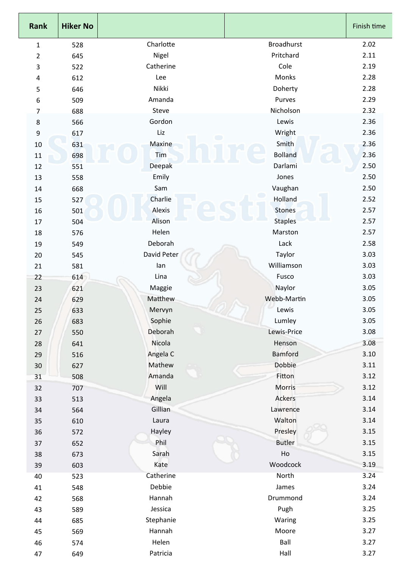| <b>Rank</b>    | <b>Hiker No</b> |                      |                   | Finish time |
|----------------|-----------------|----------------------|-------------------|-------------|
| $\mathbf{1}$   | 528             | Charlotte            | <b>Broadhurst</b> | 2.02        |
| $\overline{2}$ | 645             | Nigel                | Pritchard         | 2.11        |
| 3              | 522             | Catherine            | Cole              | 2.19        |
| 4              | 612             | Lee                  | Monks             | 2.28        |
| 5              | 646             | Nikki                | Doherty           | 2.28        |
| 6              | 509             | Amanda               | Purves            | 2.29        |
| $\overline{7}$ | 688             | Steve                | Nicholson         | 2.32        |
| 8              | 566             | Gordon               | Lewis             | 2.36        |
| 9              | 617             | Liz                  | Wright            | 2.36        |
| 10             | 631             | $\bigcirc$<br>Maxine | Smith             | 2.36        |
| 11             | 698             | Tim                  | <b>Bolland</b>    | 2.36        |
| 12             | 551             | Deepak               | Darlami           | 2.50        |
| 13             | 558             | Emily                | Jones             | 2.50        |
| 14             | 668             | Sam                  | Vaughan           | 2.50        |
| 15             | 527             | Charlie              | Holland           | 2.52        |
| 16             | 501             | Alexis               | <b>Stones</b>     | 2.57        |
| 17             | 504             | Alison               | <b>Staples</b>    | 2.57        |
| 18             | 576             | Helen                | Marston           | 2.57        |
| 19             | 549             | Deborah              | Lack              | 2.58        |
| 20             | 545             | David Peter          | Taylor            | 3.03        |
| 21             | 581             | lan                  | Williamson        | 3.03        |
| 22             | 614             | Lina                 | Fusco             | 3.03        |
| 23             |                 | Maggie               | Naylor            | 3.05        |
|                | 621             | Matthew              | Webb-Martin       | 3.05        |
| 24             | 629             | Mervyn               | Lewis             | 3.05        |
| 25             | 633             | Sophie               | Lumley            | 3.05        |
| 26             | 683             | Deborah              | Lewis-Price       | 3.08        |
| 27             | 550             | Nicola               |                   |             |
| 28             | 641             |                      | Henson            | 3.08        |
| 29             | 516             | Angela C             | <b>Bamford</b>    | 3.10        |
| 30             | 627             | Mathew               | Dobbie            | 3.11        |
| 31             | 508             | Amanda               | Fitton            | 3.12        |
| 32             | 707             | Will                 | <b>Morris</b>     | 3.12        |
| 33             | 513             | Angela               | Ackers            | 3.14        |
| 34             | 564             | Gillian              | Lawrence          | 3.14        |
| 35             | 610             | Laura                | Walton            | 3.14        |
| 36             | 572             | Hayley               | Presley           | 3.15        |
| 37             | 652             | Phil                 | <b>Butler</b>     | 3.15        |
| 38             | 673             | Sarah                | Ho                | 3.15        |
| 39             | 603             | Kate                 | Woodcock          | 3.19        |
| 40             | 523             | Catherine            | North             | 3.24        |
| 41             | 548             | Debbie               | James             | 3.24        |
| 42             | 568             | Hannah               | Drummond          | 3.24        |
| 43             | 589             | Jessica              | Pugh              | 3.25        |
| 44             | 685             | Stephanie            | Waring            | 3.25        |
| 45             | 569             | Hannah               | Moore             | 3.27        |
| 46             | 574             | Helen                | Ball              | 3.27        |
| 47             | 649             | Patricia             | Hall              | 3.27        |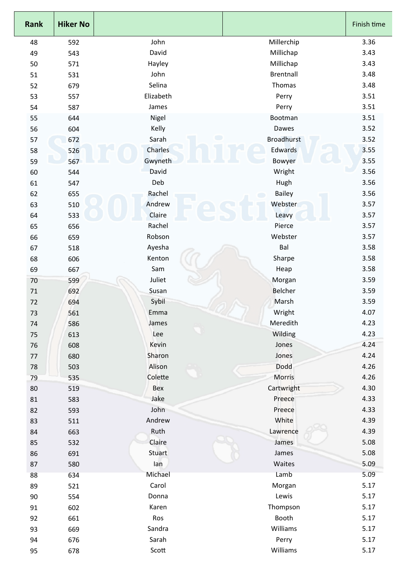| Rank    | <b>Hiker No</b> |                         |                   | Finish time |
|---------|-----------------|-------------------------|-------------------|-------------|
| 48      | 592             | John                    | Millerchip        | 3.36        |
| 49      | 543             | David                   | Millichap         | 3.43        |
| 50      | 571             | Hayley                  | Millichap         | 3.43        |
| 51      | 531             | John                    | <b>Brentnall</b>  | 3.48        |
| 52      | 679             | Selina                  | Thomas            | 3.48        |
| 53      | 557             | Elizabeth               | Perry             | 3.51        |
| 54      | 587             | James                   | Perry             | 3.51        |
| 55      | 644             | Nigel                   | Bootman           | 3.51        |
| 56      | 604             | Kelly                   | Dawes             | 3.52        |
| 57      | 672             | $\blacksquare$<br>Sarah | <b>Broadhurst</b> | 3.52        |
| 58      | 526             | Charles                 | Edwards           | 3.55        |
| 59      | 567             | Gwyneth                 | Bowyer            | 3.55        |
| 60      | 544             | David                   | Wright            | 3.56        |
| 61      | 547             | Deb                     | Hugh              | 3.56        |
| 62      | 655             | Rachel                  | Bailey            | 3.56        |
| 63      | 510             | Andrew                  | Webster           | 3.57        |
| 64      | 533             | Claire                  | Leavy             | 3.57        |
| 65      | 656             | Rachel                  | Pierce            | 3.57        |
| 66      | 659             | Robson                  | Webster           | 3.57        |
| 67      | 518             | Ayesha                  | Bal               | 3.58        |
| 68      | 606             | Kenton                  | Sharpe            | 3.58        |
| 69      | 667             | Sam                     | Heap              | 3.58        |
| 70      | 599             | Juliet                  | Morgan            | 3.59        |
| 71      | 692             | Susan                   | <b>Belcher</b>    | 3.59        |
| 72      | 694             | Sybil                   | Marsh             | 3.59        |
| 73      | 561             | Emma                    | Wright            | 4.07        |
| 74      | 586             | James                   | Meredith          | 4.23        |
| $75\,$  | 613             | Lee                     | Wilding           | 4.23        |
| 76      | 608             | Kevin                   | Jones             | 4.24        |
| $77 \,$ | 680             | Sharon                  | Jones             | 4.24        |
| 78      | 503             | Alison                  | Dodd              | 4.26        |
| 79      | 535             | Colette                 | <b>Morris</b>     | 4.26        |
| 80      | 519             | Bex                     | Cartwright        | 4.30        |
| 81      | 583             | Jake                    | Preece            | 4.33        |
| 82      | 593             | John                    | Preece            | 4.33        |
| 83      | 511             | Andrew                  | White             | 4.39        |
| 84      | 663             | Ruth                    | Lawrence          | 4.39        |
| 85      | 532             | Claire                  | James             | 5.08        |
| 86      | 691             | Stuart                  | James             | 5.08        |
| 87      | 580             | lan                     | Waites            | 5.09        |
| 88      | 634             | Michael                 | Lamb              | 5.09        |
| 89      | 521             | Carol                   | Morgan            | 5.17        |
| 90      | 554             | Donna                   | Lewis             | 5.17        |
| 91      | 602             | Karen                   | Thompson          | 5.17        |
| 92      | 661             | Ros                     | Booth             | 5.17        |
| 93      | 669             | Sandra                  | Williams          | 5.17        |
| 94      | 676             | Sarah                   | Perry             | 5.17        |
|         |                 | Scott                   | Williams          | 5.17        |
| 95      | 678             |                         |                   |             |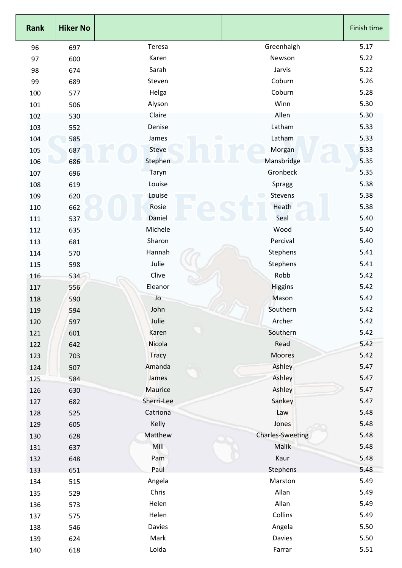| <b>Rank</b> | <b>Hiker No</b> |                         |                         | Finish time |
|-------------|-----------------|-------------------------|-------------------------|-------------|
| 96          | 697             | Teresa                  | Greenhalgh              | 5.17        |
| 97          | 600             | Karen                   | Newson                  | 5.22        |
| 98          | 674             | Sarah                   | Jarvis                  | 5.22        |
| 99          | 689             | Steven                  | Coburn                  | 5.26        |
| 100         | 577             | Helga                   | Coburn                  | 5.28        |
| 101         | 506             | Alyson                  | Winn                    | 5.30        |
| 102         | 530             | Claire                  | Allen                   | 5.30        |
| 103         | 552             | Denise                  | Latham                  | 5.33        |
| 104         | 585             | $\blacksquare$<br>James | Latham                  | 5.33        |
| 105         | 687             | Steve                   | Morgan                  | 5.33        |
| 106         | 686             | Stephen                 | Mansbridge              | 5.35        |
| 107         | 696             | Taryn                   | Gronbeck                | 5.35        |
| 108         | 619             | Louise                  | Spragg                  | 5.38        |
| 109         | 620             | Louise                  | Stevens                 | 5.38        |
| 110         | 662             | Rosie                   | Heath                   | 5.38        |
| 111         | 537             | Daniel                  | Seal                    | 5.40        |
| 112         | 635             | Michele                 | Wood                    | 5.40        |
| 113         | 681             | Sharon                  | Percival                | 5.40        |
| 114         | 570             | Hannah                  | Stephens                | 5.41        |
| 115         | 598             | Julie                   | Stephens                | 5.41        |
| 116         | 534             | Clive                   | Robb                    | 5.42        |
| 117         | 556             | Eleanor                 | Higgins                 | 5.42        |
| 118         | 590             | Jo                      | Mason                   | 5.42        |
| 119         | 594             | John                    | Southern                | 5.42        |
| 120         | 597             | Julie                   | Archer                  | 5.42        |
| 121         | 601             | Karen                   | Southern                | 5.42        |
| 122         | 642             | Nicola                  | Read                    | 5.42        |
| 123         | 703             | <b>Tracy</b>            | Moores                  | 5.42        |
| 124         | 507             | Amanda                  | Ashley                  | 5.47        |
| 125         | 584             | James                   | Ashley                  | 5.47        |
| 126         | 630             | Maurice                 | Ashley                  | 5.47        |
| 127         | 682             | Sherri-Lee              | Sankey                  | 5.47        |
| 128         | 525             | Catriona                | Law                     | 5.48        |
| 129         | 605             | Kelly                   | Jones                   | 5.48        |
| 130         | 628             | Matthew                 | <b>Charles-Sweeting</b> | 5.48        |
| 131         | 637             | Mili                    | <b>Malik</b>            | 5.48        |
| 132         | 648             | Pam                     | Kaur                    | 5.48        |
| 133         | 651             | Paul                    | Stephens                | 5.48        |
| 134         | 515             | Angela                  | Marston                 | 5.49        |
| 135         | 529             | Chris                   | Allan                   | 5.49        |
| 136         | 573             | Helen                   | Allan                   | 5.49        |
| 137         | 575             | Helen                   | Collins                 | 5.49        |
| 138         | 546             | Davies                  | Angela                  | 5.50        |
| 139         | 624             | Mark                    | Davies                  | 5.50        |
| 140         | 618             | Loida                   | Farrar                  | 5.51        |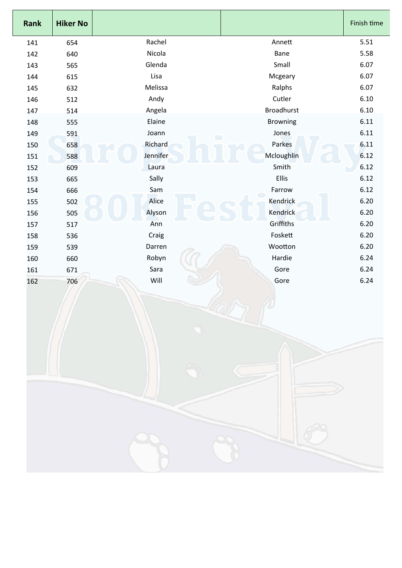| <b>Rank</b> | <b>Hiker No</b> |                         |                   | Finish time |
|-------------|-----------------|-------------------------|-------------------|-------------|
| 141         | 654             | Rachel                  | Annett            | 5.51        |
| 142         | 640             | Nicola                  | Bane              | 5.58        |
| 143         | 565             | Glenda                  | Small             | 6.07        |
| 144         | 615             | Lisa                    | Mcgeary           | 6.07        |
| 145         | 632             | Melissa                 | Ralphs            | 6.07        |
| 146         | 512             | Andy                    | Cutler            | 6.10        |
| 147         | 514             | Angela                  | <b>Broadhurst</b> | 6.10        |
| 148         | 555             | Elaine                  | <b>Browning</b>   | 6.11        |
| 149         | 591             | Joann<br>$\blacksquare$ | Jones             | 6.11        |
| 150         | 658             | Richard                 | Parkes            | 6.11        |
| 151         | 588             | Jennifer                | Mcloughlin        | 6.12        |
| 152         | 609             | Laura                   | Smith             | 6.12        |
| 153         | 665             | Sally                   | Ellis             | 6.12        |
| 154         | 666             | Sam                     | Farrow            | 6.12        |
| 155         | 502             | Alice                   | Kendrick          | 6.20        |
| 156         | 505             | Alyson                  | Kendrick          | 6.20        |
| 157         | 517             | Ann                     | Griffiths         | 6.20        |
| 158         | 536             | Craig                   | Foskett           | 6.20        |
| 159         | 539             | Darren                  | Wootton           | 6.20        |
| 160         | 660             | Robyn                   | Hardie            | 6.24        |
| 161         | 671             | Sara                    | Gore              | 6.24        |
| 162         | 706             | Will                    | Gore              | 6.24        |
|             |                 |                         |                   |             |

Г